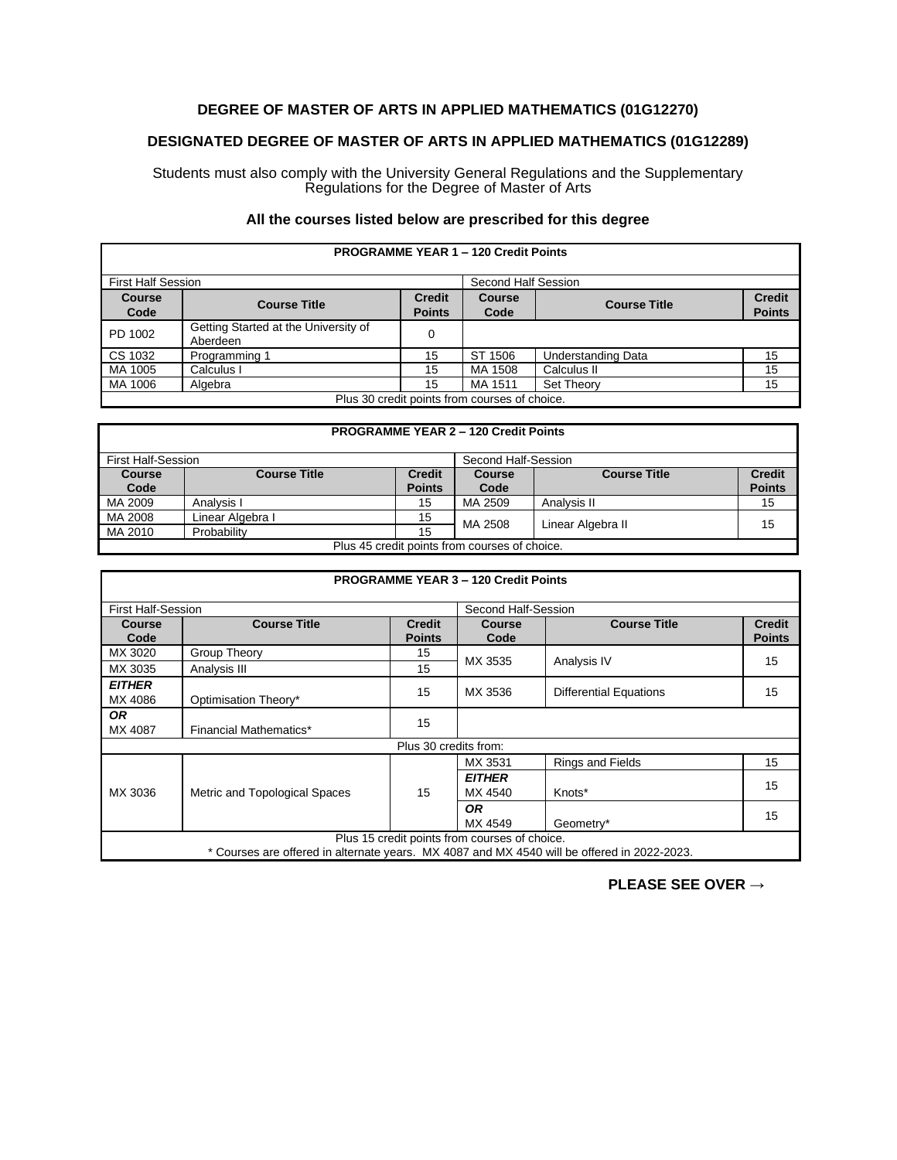## **DEGREE OF MASTER OF ARTS IN APPLIED MATHEMATICS (01G12270)**

## **DESIGNATED DEGREE OF MASTER OF ARTS IN APPLIED MATHEMATICS (01G12289)**

Students must also comply with the University General Regulations and the Supplementary Regulations for the Degree of Master of Arts

## **All the courses listed below are prescribed for this degree**

| <b>PROGRAMME YEAR 1 - 120 Credit Points</b>   |                                                  |                                |                       |                           |                                |
|-----------------------------------------------|--------------------------------------------------|--------------------------------|-----------------------|---------------------------|--------------------------------|
| <b>First Half Session</b>                     |                                                  |                                | Second Half Session   |                           |                                |
| <b>Course</b><br>Code                         | <b>Course Title</b>                              | <b>Credit</b><br><b>Points</b> | <b>Course</b><br>Code | <b>Course Title</b>       | <b>Credit</b><br><b>Points</b> |
| PD 1002                                       | Getting Started at the University of<br>Aberdeen | 0                              |                       |                           |                                |
| CS 1032                                       | Programming 1                                    | 15                             | SТ<br>1506            | <b>Understanding Data</b> | 15                             |
| MA 1005                                       | Calculus I                                       | 15                             | MA 1508               | Calculus II               | 15                             |
| MA 1006                                       | Algebra                                          | 15                             | MA 1511               | <b>Set Theory</b>         | 15                             |
| Plus 30 credit points from courses of choice. |                                                  |                                |                       |                           |                                |

| <b>PROGRAMME YEAR 2 - 120 Credit Points</b>   |                     |               |                     |                     |               |
|-----------------------------------------------|---------------------|---------------|---------------------|---------------------|---------------|
| First Half-Session                            |                     |               | Second Half-Session |                     |               |
| <b>Course</b>                                 | <b>Course Title</b> | <b>Credit</b> | <b>Course</b>       | <b>Course Title</b> | <b>Credit</b> |
| Code                                          |                     | <b>Points</b> | Code                |                     | <b>Points</b> |
| MA 2009                                       | Analysis I          | 15            | MA 2509             | Analysis II         | 15            |
| MA 2008                                       | Linear Algebra I    | 15            | MA 2508             | Linear Algebra II   | 15            |
| MA 2010                                       | Probability         | 15            |                     |                     |               |
| Plus 45 credit points from courses of choice. |                     |               |                     |                     |               |

| <b>PROGRAMME YEAR 3 - 120 Credit Points</b>                                                                                                  |                               |                                |                          |                               |                                |  |
|----------------------------------------------------------------------------------------------------------------------------------------------|-------------------------------|--------------------------------|--------------------------|-------------------------------|--------------------------------|--|
|                                                                                                                                              | <b>First Half-Session</b>     |                                |                          | Second Half-Session           |                                |  |
| <b>Course</b><br>Code                                                                                                                        | <b>Course Title</b>           | <b>Credit</b><br><b>Points</b> | <b>Course</b><br>Code    | <b>Course Title</b>           | <b>Credit</b><br><b>Points</b> |  |
| MX 3020                                                                                                                                      | Group Theory                  | 15                             | MX 3535                  |                               | 15                             |  |
| MX 3035                                                                                                                                      | Analysis III                  | 15                             |                          | Analysis IV                   |                                |  |
| <b>EITHER</b><br>MX 4086                                                                                                                     | Optimisation Theory*          | 15                             | MX 3536                  | <b>Differential Equations</b> | 15                             |  |
| <b>OR</b><br>MX 4087                                                                                                                         | <b>Financial Mathematics*</b> | 15                             |                          |                               |                                |  |
|                                                                                                                                              |                               | Plus 30 credits from:          |                          |                               |                                |  |
| MX 3036                                                                                                                                      | Metric and Topological Spaces |                                | MX 3531                  | <b>Rings and Fields</b>       | 15                             |  |
|                                                                                                                                              |                               | 15                             | <b>EITHER</b><br>MX 4540 | Knots*                        | 15                             |  |
|                                                                                                                                              |                               |                                | <b>OR</b><br>MX 4549     | Geometry*                     | 15                             |  |
| Plus 15 credit points from courses of choice.<br>* Courses are offered in alternate years. MX 4087 and MX 4540 will be offered in 2022-2023. |                               |                                |                          |                               |                                |  |

**PLEASE SEE OVER →**